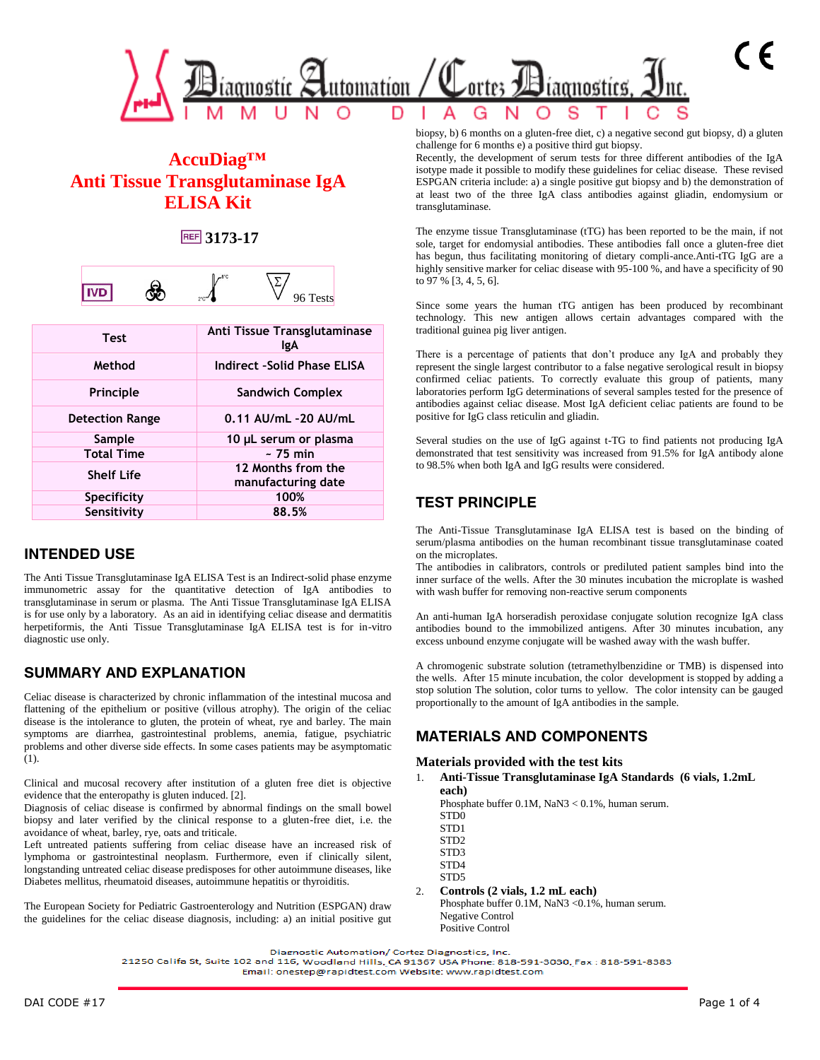

# **AccuDiag™ Anti Tissue Transglutaminase IgA ELISA Kit**

### **3173-17**

|  | no.<br>z<br>v<br>- | v<br>$\overline{\phantom{a}}$<br>◡<br>້ |
|--|--------------------|-----------------------------------------|
|--|--------------------|-----------------------------------------|

| <b>Test</b>            | Anti Tissue Transglutaminase<br>lgA      |
|------------------------|------------------------------------------|
| Method                 | Indirect -Solid Phase ELISA              |
| Principle              | <b>Sandwich Complex</b>                  |
| <b>Detection Range</b> | 0.11 AU/mL -20 AU/mL                     |
| Sample                 | 10 µL serum or plasma                    |
| <b>Total Time</b>      | $~-$ 75 min                              |
| <b>Shelf Life</b>      | 12 Months from the<br>manufacturing date |
| Specificity            | 100%                                     |
| Sensitivity            | 88.5%                                    |

### **INTENDED USE**

The Anti Tissue Transglutaminase IgA ELISA Test is an Indirect-solid phase enzyme immunometric assay for the quantitative detection of IgA antibodies to transglutaminase in serum or plasma. The Anti Tissue Transglutaminase IgA ELISA is for use only by a laboratory. As an aid in identifying celiac disease and dermatitis herpetiformis, the Anti Tissue Transglutaminase IgA ELISA test is for in-vitro diagnostic use only.

### **SUMMARY AND EXPLANATION**

Celiac disease is characterized by chronic inflammation of the intestinal mucosa and flattening of the epithelium or positive (villous atrophy). The origin of the celiac disease is the intolerance to gluten, the protein of wheat, rye and barley. The main symptoms are diarrhea, gastrointestinal problems, anemia, fatigue, psychiatric problems and other diverse side effects. In some cases patients may be asymptomatic (1).

Clinical and mucosal recovery after institution of a gluten free diet is objective evidence that the enteropathy is gluten induced. [2].

Diagnosis of celiac disease is confirmed by abnormal findings on the small bowel biopsy and later verified by the clinical response to a gluten-free diet, i.e. the avoidance of wheat, barley, rye, oats and triticale.

Left untreated patients suffering from celiac disease have an increased risk of lymphoma or gastrointestinal neoplasm. Furthermore, even if clinically silent, longstanding untreated celiac disease predisposes for other autoimmune diseases, like Diabetes mellitus, rheumatoid diseases, autoimmune hepatitis or thyroiditis.

The European Society for Pediatric Gastroenterology and Nutrition (ESPGAN) draw the guidelines for the celiac disease diagnosis, including: a) an initial positive gut biopsy, b) 6 months on a gluten-free diet, c) a negative second gut biopsy, d) a gluten challenge for 6 months e) a positive third gut biopsy.

Recently, the development of serum tests for three different antibodies of the IgA isotype made it possible to modify these guidelines for celiac disease. These revised ESPGAN criteria include: a) a single positive gut biopsy and b) the demonstration of at least two of the three IgA class antibodies against gliadin, endomysium or transglutaminase.

The enzyme tissue Transglutaminase (tTG) has been reported to be the main, if not sole, target for endomysial antibodies. These antibodies fall once a gluten-free diet has begun, thus facilitating monitoring of dietary compli-ance.Anti-tTG IgG are a highly sensitive marker for celiac disease with 95-100 %, and have a specificity of 90 to 97 % [3, 4, 5, 6].

Since some years the human tTG antigen has been produced by recombinant technology. This new antigen allows certain advantages compared with the traditional guinea pig liver antigen.

There is a percentage of patients that don't produce any IgA and probably they represent the single largest contributor to a false negative serological result in biopsy confirmed celiac patients. To correctly evaluate this group of patients, many laboratories perform IgG determinations of several samples tested for the presence of antibodies against celiac disease. Most IgA deficient celiac patients are found to be positive for IgG class reticulin and gliadin.

Several studies on the use of IgG against t-TG to find patients not producing IgA demonstrated that test sensitivity was increased from 91.5% for IgA antibody alone to 98.5% when both IgA and IgG results were considered.

# **TEST PRINCIPLE**

The Anti-Tissue Transglutaminase IgA ELISA test is based on the binding of serum/plasma antibodies on the human recombinant tissue transglutaminase coated on the microplates.

The antibodies in calibrators, controls or prediluted patient samples bind into the inner surface of the wells. After the 30 minutes incubation the microplate is washed with wash buffer for removing non-reactive serum components

An anti-human IgA horseradish peroxidase conjugate solution recognize IgA class antibodies bound to the immobilized antigens. After 30 minutes incubation, any excess unbound enzyme conjugate will be washed away with the wash buffer.

A chromogenic substrate solution (tetramethylbenzidine or TMB) is dispensed into the wells. After 15 minute incubation, the color development is stopped by adding a stop solution The solution, color turns to yellow. The color intensity can be gauged proportionally to the amount of IgA antibodies in the sample.

### **MATERIALS AND COMPONENTS**

#### **Materials provided with the test kits**

1. **Anti-Tissue Transglutaminase IgA Standards (6 vials, 1.2mL each)**

Phosphate buffer 0.1M, NaN3 < 0.1%, human serum. STD0

- STD1
- STD2
- STD3
- STD4 STD5

#### 2. **Controls (2 vials, 1.2 mL each)**

Phosphate buffer 0.1M, NaN3 < 0.1%, human serum. Negative Control Positive Control

21250 Califa St, Suite 102 and 116, Woodland Hills, CA 91367 USA Phone: 818-591-3030, Fax: 818-591-8383 Email: onestep@rapidtest.com Website: www.rapidtest.com

Diagnostic Automation/ Cortez Diagnostics, Inc.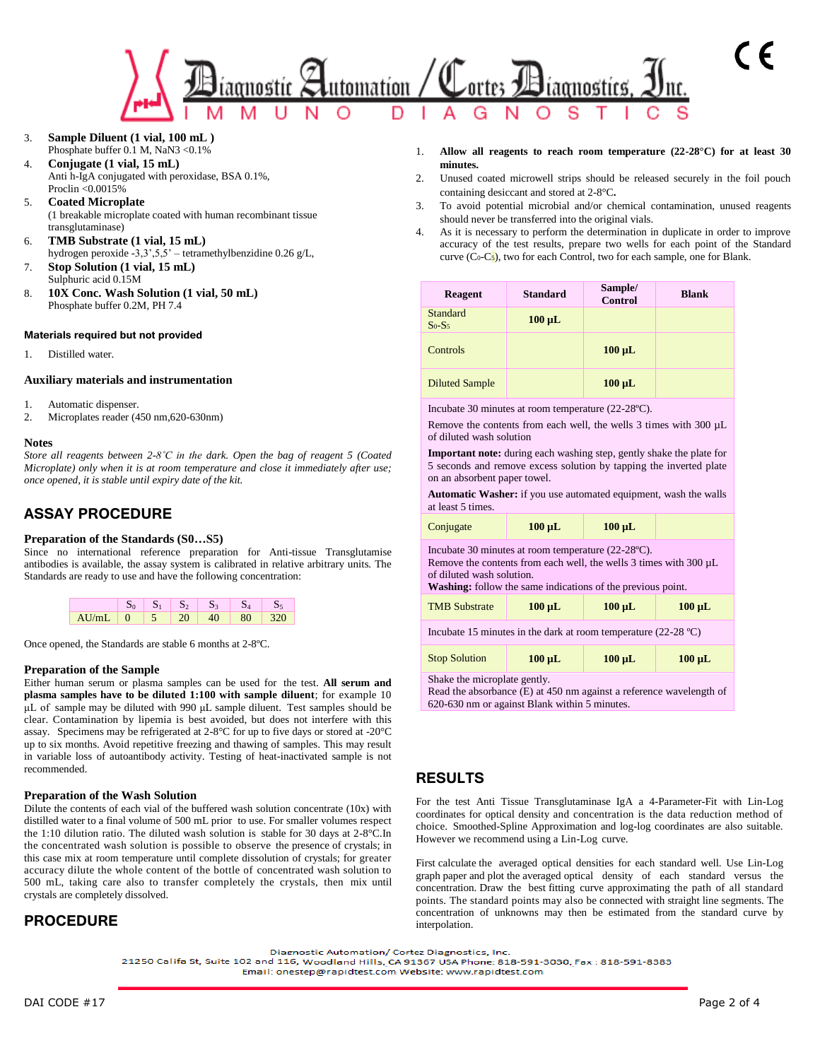

3. **Sample Diluent (1 vial, 100 mL )**  Phosphate buffer 0.1 M, NaN3 < 0.1%

4. **Conjugate (1 vial, 15 mL)** Anti h-IgA conjugated with peroxidase, BSA 0.1%, Proclin <0.0015%

- 5. **Coated Microplate**  (1 breakable microplate coated with human recombinant tissue transglutaminase)
- 6. **TMB Substrate (1 vial, 15 mL)** hydrogen peroxide -3,3',5,5' – tetramethylbenzidine 0.26 g/L,
- 7. **Stop Solution (1 vial, 15 mL)** Sulphuric acid 0.15M
- 8. **10X Conc. Wash Solution (1 vial, 50 mL)** Phosphate buffer 0.2M, PH 7.4

#### **Materials required but not provided**

1. Distilled water.

#### **Auxiliary materials and instrumentation**

- 1. Automatic dispenser.
- 2. Microplates reader (450 nm,620-630nm)

#### **Notes**

*Store all reagents between 2-8˚C in the dark. Open the bag of reagent 5 (Coated Microplate) only when it is at room temperature and close it immediately after use; once opened, it is stable until expiry date of the kit.*

# **ASSAY PROCEDURE**

#### **Preparation of the Standards (S0…S5)**

Since no international reference preparation for Anti-tissue Transglutamise antibodies is available, the assay system is calibrated in relative arbitrary units. The Standards are ready to use and have the following concentration:



Once opened, the Standards are stable 6 months at 2-8ºC.

#### **Preparation of the Sample**

Either human serum or plasma samples can be used for the test. **All serum and plasma samples have to be diluted 1:100 with sample diluent**; for example 10 μL of sample may be diluted with 990 μL sample diluent. Test samples should be clear. Contamination by lipemia is best avoided, but does not interfere with this assay. Specimens may be refrigerated at 2-8°C for up to five days or stored at -20°C up to six months. Avoid repetitive freezing and thawing of samples. This may result in variable loss of autoantibody activity. Testing of heat-inactivated sample is not recommended.

#### **Preparation of the Wash Solution**

Dilute the contents of each vial of the buffered wash solution concentrate (10x) with distilled water to a final volume of 500 mL prior to use. For smaller volumes respect the 1:10 dilution ratio. The diluted wash solution is stable for 30 days at 2-8°C.In the concentrated wash solution is possible to observe the presence of crystals; in this case mix at room temperature until complete dissolution of crystals; for greater accuracy dilute the whole content of the bottle of concentrated wash solution to 500 mL, taking care also to transfer completely the crystals, then mix until crystals are completely dissolved.

# **PROCEDURE**

- 1. **Allow all reagents to reach room temperature (22-28°C) for at least 30 minutes.**
- 2. Unused coated microwell strips should be released securely in the foil pouch containing desiccant and stored at 2-8°C**.**
- 3. To avoid potential microbial and/or chemical contamination, unused reagents should never be transferred into the original vials.
- 4. As it is necessary to perform the determination in duplicate in order to improve accuracy of the test results, prepare two wells for each point of the Standard curve  $(C_0-C_5)$ , two for each Control, two for each sample, one for Blank.

| Reagent               | <b>Standard</b> | Sample/<br>Control | <b>Blank</b> |
|-----------------------|-----------------|--------------------|--------------|
| Standard<br>$S_0-S_5$ | $100 \mu L$     |                    |              |
| Controls              |                 | $100 \mu L$        |              |
| <b>Diluted Sample</b> |                 | $100 \mu L$        |              |

Incubate 30 minutes at room temperature (22-28ºC).

Remove the contents from each well, the wells 3 times with 300 µL of diluted wash solution

**Important note:** during each washing step, gently shake the plate for 5 seconds and remove excess solution by tapping the inverted plate on an absorbent paper towel.

**Automatic Washer:** if you use automated equipment, wash the walls at least 5 times.

| Conjugate                                                                                                                                                                                                                          | $100 \mu L$                               | $100 \mu L$ |             |  |  |
|------------------------------------------------------------------------------------------------------------------------------------------------------------------------------------------------------------------------------------|-------------------------------------------|-------------|-------------|--|--|
| Incubate 30 minutes at room temperature $(22-28$ °C).<br>Remove the contents from each well, the wells 3 times with $300 \mu L$<br>of diluted wash solution.<br><b>Washing:</b> follow the same indications of the previous point. |                                           |             |             |  |  |
| <b>TMB</b> Substrate                                                                                                                                                                                                               | $100 \mu L$<br>$100 \mu L$<br>$100 \mu L$ |             |             |  |  |
| Incubate 15 minutes in the dark at room temperature $(22-28 \degree C)$                                                                                                                                                            |                                           |             |             |  |  |
| <b>Stop Solution</b>                                                                                                                                                                                                               | $100 \mu L$                               | $100 \mu L$ | $100 \mu L$ |  |  |

Shake the microplate gently.

Read the absorbance (E) at 450 nm against a reference wavelength of 620-630 nm or against Blank within 5 minutes.

### **RESULTS**

For the test Anti Tissue Transglutaminase IgA a 4-Parameter-Fit with Lin-Log coordinates for optical density and concentration is the data reduction method of choice. Smoothed-Spline Approximation and log-log coordinates are also suitable. However we recommend using a Lin-Log curve.

First calculate the averaged optical densities for each standard well. Use Lin-Log graph paper and plot the averaged optical density of each standard versus the concentration. Draw the best fitting curve approximating the path of all standard points. The standard points may also be connected with straight line segments. The concentration of unknowns may then be estimated from the standard curve by interpolation.

Diagnostic Automation/ Cortez Diagnostics, Inc.

21250 Califa St, Suite 102 and 116, Woodland Hills, CA 91367 USA Phone: 818-591-8030, Fax : 818-591-8383 Email: onestep@rapidtest.com Website: www.rapidtest.com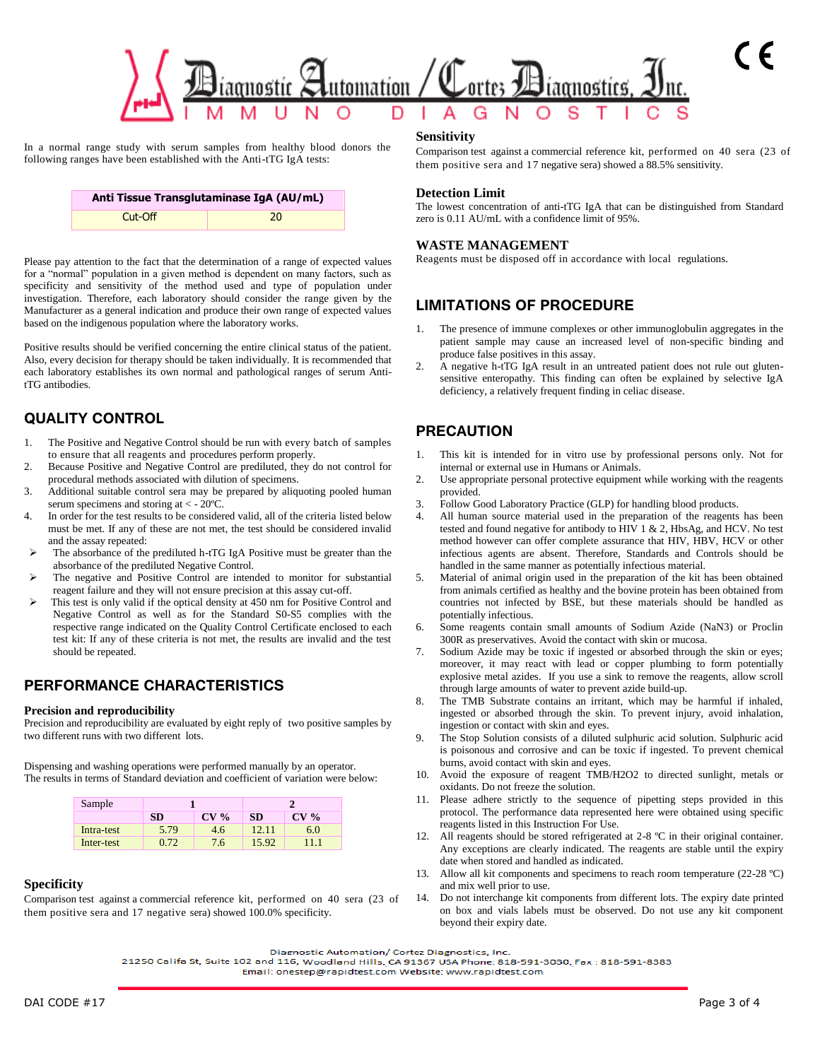

In a normal range study with serum samples from healthy blood donors the following ranges have been established with the Anti-tTG IgA tests:

| Anti Tissue Transglutaminase IgA (AU/mL) |  |  |  |
|------------------------------------------|--|--|--|
| $Cut$ -Off<br>20                         |  |  |  |

Please pay attention to the fact that the determination of a range of expected values for a "normal" population in a given method is dependent on many factors, such as specificity and sensitivity of the method used and type of population under investigation. Therefore, each laboratory should consider the range given by the Manufacturer as a general indication and produce their own range of expected values based on the indigenous population where the laboratory works.

Positive results should be verified concerning the entire clinical status of the patient. Also, every decision for therapy should be taken individually. It is recommended that each laboratory establishes its own normal and pathological ranges of serum AntitTG antibodies.

# **QUALITY CONTROL**

- The Positive and Negative Control should be run with every batch of samples to ensure that all reagents and procedures perform properly.
- 2. Because Positive and Negative Control are prediluted, they do not control for procedural methods associated with dilution of specimens.
- 3. Additional suitable control sera may be prepared by aliquoting pooled human serum specimens and storing at < - 20ºC.
- 4. In order for the test results to be considered valid, all of the criteria listed below must be met. If any of these are not met, the test should be considered invalid and the assay repeated:
- The absorbance of the prediluted h-tTG IgA Positive must be greater than the absorbance of the prediluted Negative Control.
- The negative and Positive Control are intended to monitor for substantial reagent failure and they will not ensure precision at this assay cut-off.
- This test is only valid if the optical density at 450 nm for Positive Control and Negative Control as well as for the Standard S0-S5 complies with the respective range indicated on the Quality Control Certificate enclosed to each test kit: If any of these criteria is not met, the results are invalid and the test should be repeated.

# **PERFORMANCE CHARACTERISTICS**

#### **Precision and reproducibility**

Precision and reproducibility are evaluated by eight reply of two positive samples by two different runs with two different lots.

Dispensing and washing operations were performed manually by an operator. The results in terms of Standard deviation and coefficient of variation were below:

| Sample     |           |                 |           |                 |
|------------|-----------|-----------------|-----------|-----------------|
|            | <b>SD</b> | CV <sub>0</sub> | <b>SD</b> | CV <sub>0</sub> |
| Intra-test | 5.79      | 4.6             | 12.11     | 6.0             |
| Inter-test | በ 72      | 7.6             | 15.92     | 11.1            |

#### **Specificity**

Comparison test against a commercial reference kit, performed on 40 sera (23 of them positive sera and 17 negative sera) showed 100.0% specificity.

#### **Sensitivity**

Comparison test against a commercial reference kit, performed on 40 sera (23 of them positive sera and 17 negative sera) showed a 88.5% sensitivity.

#### **Detection Limit**

The lowest concentration of anti-tTG IgA that can be distinguished from Standard zero is 0.11 AU/mL with a confidence limit of 95%.

#### **WASTE MANAGEMENT**

Reagents must be disposed off in accordance with local regulations.

# **LIMITATIONS OF PROCEDURE**

- The presence of immune complexes or other immunoglobulin aggregates in the patient sample may cause an increased level of non-specific binding and produce false positives in this assay.
- 2. A negative h-tTG IgA result in an untreated patient does not rule out glutensensitive enteropathy. This finding can often be explained by selective IgA deficiency, a relatively frequent finding in celiac disease.

# **PRECAUTION**

- 1. This kit is intended for in vitro use by professional persons only. Not for internal or external use in Humans or Animals.
- 2. Use appropriate personal protective equipment while working with the reagents provided.
- 3. Follow Good Laboratory Practice (GLP) for handling blood products.
- 4. All human source material used in the preparation of the reagents has been tested and found negative for antibody to HIV 1 & 2, HbsAg, and HCV. No test method however can offer complete assurance that HIV, HBV, HCV or other infectious agents are absent. Therefore, Standards and Controls should be handled in the same manner as potentially infectious material.
- 5. Material of animal origin used in the preparation of the kit has been obtained from animals certified as healthy and the bovine protein has been obtained from countries not infected by BSE, but these materials should be handled as potentially infectious.
- 6. Some reagents contain small amounts of Sodium Azide (NaN3) or Proclin 300R as preservatives. Avoid the contact with skin or mucosa.
- 7. Sodium Azide may be toxic if ingested or absorbed through the skin or eyes; moreover, it may react with lead or copper plumbing to form potentially explosive metal azides. If you use a sink to remove the reagents, allow scroll through large amounts of water to prevent azide build-up.
- 8. The TMB Substrate contains an irritant, which may be harmful if inhaled, ingested or absorbed through the skin. To prevent injury, avoid inhalation, ingestion or contact with skin and eyes.
- 9. The Stop Solution consists of a diluted sulphuric acid solution. Sulphuric acid is poisonous and corrosive and can be toxic if ingested. To prevent chemical burns, avoid contact with skin and eyes.
- 10. Avoid the exposure of reagent TMB/H2O2 to directed sunlight, metals or oxidants. Do not freeze the solution.
- 11. Please adhere strictly to the sequence of pipetting steps provided in this protocol. The performance data represented here were obtained using specific reagents listed in this Instruction For Use.
- 12. All reagents should be stored refrigerated at 2-8 ºC in their original container. Any exceptions are clearly indicated. The reagents are stable until the expiry date when stored and handled as indicated.
- 13. Allow all kit components and specimens to reach room temperature (22-28 ºC) and mix well prior to use.
- 14. Do not interchange kit components from different lots. The expiry date printed on box and vials labels must be observed. Do not use any kit component beyond their expiry date.

Diagnostic Automation/ Cortez Diagnostics, Inc.

21250 Califa St, Suite 102 and 116, Woodland Hills, CA 91367 USA Phone: 818-591-3030, Fax: 818-591-8383 Email: onestep@rapidtest.com Website: www.rapidtest.com